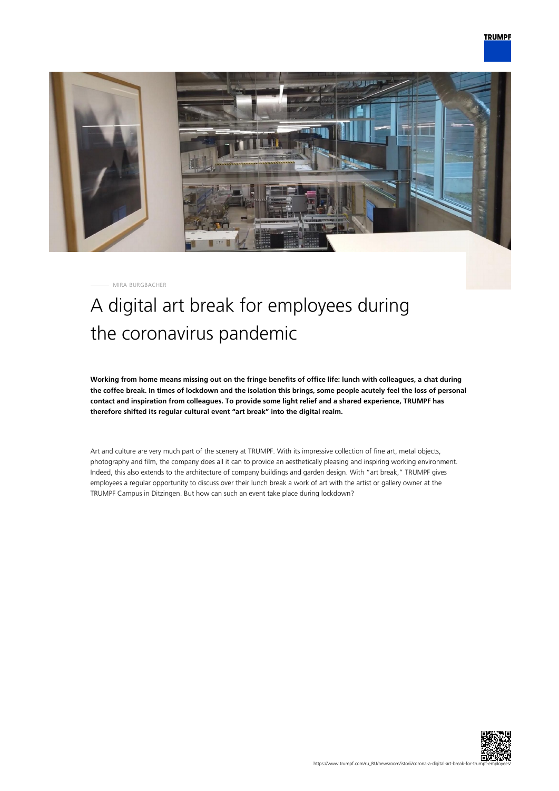

MIRA BURGBACHER

## A digital art break for employees during the coronavirus pandemic

**Working from home means missing out on the fringe benefits of office life: lunch with colleagues, a chat during the coffee break. In times of lockdown and the isolation this brings, some people acutely feel the loss of personal contact and inspiration from colleagues. To provide some light relief and a shared experience, TRUMPF has therefore shifted its regular cultural event "art break" into the digital realm.**

Art and culture are very much part of the scenery at TRUMPF. With its impressive collection of fine art, metal objects, photography and film, the company does all it can to provide an aesthetically pleasing and inspiring working environment. Indeed, this also extends to the architecture of company buildings and garden design. With "art break," TRUMPF gives employees a regular opportunity to discuss over their lunch break a work of art with the artist or gallery owner at the TRUMPF Campus in Ditzingen. But how can such an event take place during lockdown?